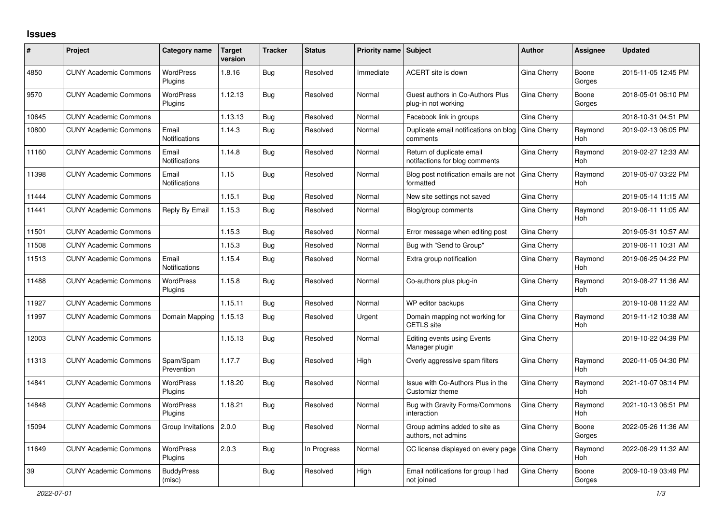## **Issues**

| #     | <b>Project</b>               | Category name                 | <b>Target</b><br>version | <b>Tracker</b> | <b>Status</b> | <b>Priority name   Subject</b> |                                                             | <b>Author</b> | Assignee        | <b>Updated</b>      |
|-------|------------------------------|-------------------------------|--------------------------|----------------|---------------|--------------------------------|-------------------------------------------------------------|---------------|-----------------|---------------------|
| 4850  | <b>CUNY Academic Commons</b> | <b>WordPress</b><br>Plugins   | 1.8.16                   | Bug            | Resolved      | Immediate                      | ACERT site is down                                          | Gina Cherry   | Boone<br>Gorges | 2015-11-05 12:45 PM |
| 9570  | <b>CUNY Academic Commons</b> | <b>WordPress</b><br>Plugins   | 1.12.13                  | Bug            | Resolved      | Normal                         | Guest authors in Co-Authors Plus<br>plug-in not working     | Gina Cherry   | Boone<br>Gorges | 2018-05-01 06:10 PM |
| 10645 | <b>CUNY Academic Commons</b> |                               | 1.13.13                  | Bug            | Resolved      | Normal                         | Facebook link in groups                                     | Gina Cherry   |                 | 2018-10-31 04:51 PM |
| 10800 | <b>CUNY Academic Commons</b> | Email<br>Notifications        | 1.14.3                   | Bug            | Resolved      | Normal                         | Duplicate email notifications on blog<br>comments           | Gina Cherry   | Raymond<br>Hoh  | 2019-02-13 06:05 PM |
| 11160 | <b>CUNY Academic Commons</b> | Email<br>Notifications        | 1.14.8                   | <b>Bug</b>     | Resolved      | Normal                         | Return of duplicate email<br>notifactions for blog comments | Gina Cherry   | Raymond<br>Hoh  | 2019-02-27 12:33 AM |
| 11398 | <b>CUNY Academic Commons</b> | Email<br><b>Notifications</b> | 1.15                     | Bug            | Resolved      | Normal                         | Blog post notification emails are not<br>formatted          | Gina Cherry   | Raymond<br>Hoh  | 2019-05-07 03:22 PM |
| 11444 | <b>CUNY Academic Commons</b> |                               | 1.15.1                   | Bug            | Resolved      | Normal                         | New site settings not saved                                 | Gina Cherry   |                 | 2019-05-14 11:15 AM |
| 11441 | <b>CUNY Academic Commons</b> | Reply By Email                | 1.15.3                   | <b>Bug</b>     | Resolved      | Normal                         | Blog/group comments                                         | Gina Cherry   | Raymond<br>Hoh  | 2019-06-11 11:05 AM |
| 11501 | <b>CUNY Academic Commons</b> |                               | 1.15.3                   | Bug            | Resolved      | Normal                         | Error message when editing post                             | Gina Cherry   |                 | 2019-05-31 10:57 AM |
| 11508 | <b>CUNY Academic Commons</b> |                               | 1.15.3                   | Bug            | Resolved      | Normal                         | Bug with "Send to Group"                                    | Gina Cherry   |                 | 2019-06-11 10:31 AM |
| 11513 | <b>CUNY Academic Commons</b> | Email<br><b>Notifications</b> | 1.15.4                   | Bug            | Resolved      | Normal                         | Extra group notification                                    | Gina Cherry   | Raymond<br>Hoh  | 2019-06-25 04:22 PM |
| 11488 | <b>CUNY Academic Commons</b> | WordPress<br>Plugins          | 1.15.8                   | Bug            | Resolved      | Normal                         | Co-authors plus plug-in                                     | Gina Cherry   | Raymond<br>Hoh  | 2019-08-27 11:36 AM |
| 11927 | <b>CUNY Academic Commons</b> |                               | 1.15.11                  | Bug            | Resolved      | Normal                         | WP editor backups                                           | Gina Cherry   |                 | 2019-10-08 11:22 AM |
| 11997 | <b>CUNY Academic Commons</b> | Domain Mapping                | 1.15.13                  | Bug            | Resolved      | Urgent                         | Domain mapping not working for<br><b>CETLS</b> site         | Gina Cherry   | Raymond<br>Hoh  | 2019-11-12 10:38 AM |
| 12003 | <b>CUNY Academic Commons</b> |                               | 1.15.13                  | <b>Bug</b>     | Resolved      | Normal                         | <b>Editing events using Events</b><br>Manager plugin        | Gina Cherry   |                 | 2019-10-22 04:39 PM |
| 11313 | <b>CUNY Academic Commons</b> | Spam/Spam<br>Prevention       | 1.17.7                   | Bug            | Resolved      | High                           | Overly aggressive spam filters                              | Gina Cherry   | Raymond<br>Hoh  | 2020-11-05 04:30 PM |
| 14841 | <b>CUNY Academic Commons</b> | <b>WordPress</b><br>Plugins   | 1.18.20                  | Bug            | Resolved      | Normal                         | Issue with Co-Authors Plus in the<br>Customizr theme        | Gina Cherry   | Raymond<br>Hoh  | 2021-10-07 08:14 PM |
| 14848 | <b>CUNY Academic Commons</b> | <b>WordPress</b><br>Plugins   | 1.18.21                  | Bug            | Resolved      | Normal                         | Bug with Gravity Forms/Commons<br>interaction               | Gina Cherry   | Raymond<br>Hoh  | 2021-10-13 06:51 PM |
| 15094 | <b>CUNY Academic Commons</b> | Group Invitations             | 2.0.0                    | Bug            | Resolved      | Normal                         | Group admins added to site as<br>authors, not admins        | Gina Cherry   | Boone<br>Gorges | 2022-05-26 11:36 AM |
| 11649 | <b>CUNY Academic Commons</b> | <b>WordPress</b><br>Plugins   | 2.0.3                    | Bug            | In Progress   | Normal                         | CC license displayed on every page                          | Gina Cherry   | Raymond<br>Hoh  | 2022-06-29 11:32 AM |
| 39    | <b>CUNY Academic Commons</b> | <b>BuddyPress</b><br>(misc)   |                          | Bug            | Resolved      | High                           | Email notifications for group I had<br>not joined           | Gina Cherry   | Boone<br>Gorges | 2009-10-19 03:49 PM |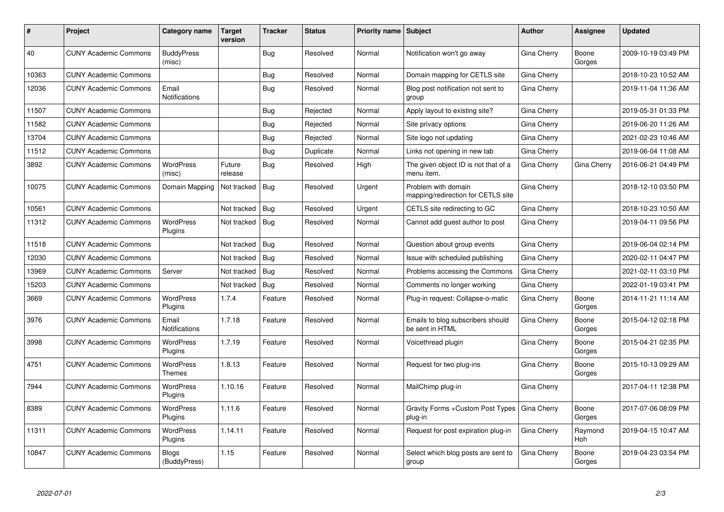| #     | Project                      | Category name                 | <b>Target</b><br>version | <b>Tracker</b> | <b>Status</b> | <b>Priority name Subject</b> |                                                           | <b>Author</b>      | Assignee        | <b>Updated</b>      |
|-------|------------------------------|-------------------------------|--------------------------|----------------|---------------|------------------------------|-----------------------------------------------------------|--------------------|-----------------|---------------------|
| 40    | <b>CUNY Academic Commons</b> | <b>BuddyPress</b><br>(misc)   |                          | <b>Bug</b>     | Resolved      | Normal                       | Notification won't go away                                | Gina Cherry        | Boone<br>Gorges | 2009-10-19 03:49 PM |
| 10363 | <b>CUNY Academic Commons</b> |                               |                          | <b>Bug</b>     | Resolved      | Normal                       | Domain mapping for CETLS site                             | Gina Cherry        |                 | 2018-10-23 10:52 AM |
| 12036 | <b>CUNY Academic Commons</b> | Email<br><b>Notifications</b> |                          | Bug            | Resolved      | Normal                       | Blog post notification not sent to<br>group               | Gina Cherry        |                 | 2019-11-04 11:36 AM |
| 11507 | <b>CUNY Academic Commons</b> |                               |                          | Bug            | Rejected      | Normal                       | Apply layout to existing site?                            | Gina Cherry        |                 | 2019-05-31 01:33 PM |
| 11582 | <b>CUNY Academic Commons</b> |                               |                          | Bug            | Rejected      | Normal                       | Site privacy options                                      | Gina Cherry        |                 | 2019-06-20 11:26 AM |
| 13704 | <b>CUNY Academic Commons</b> |                               |                          | Bug            | Rejected      | Normal                       | Site logo not updating                                    | Gina Cherry        |                 | 2021-02-23 10:46 AM |
| 11512 | <b>CUNY Academic Commons</b> |                               |                          | <b>Bug</b>     | Duplicate     | Normal                       | Links not opening in new tab                              | Gina Cherry        |                 | 2019-06-04 11:08 AM |
| 3892  | <b>CUNY Academic Commons</b> | <b>WordPress</b><br>(misc)    | Future<br>release        | Bug            | Resolved      | High                         | The given object ID is not that of a<br>menu item.        | Gina Cherry        | Gina Cherry     | 2016-06-21 04:49 PM |
| 10075 | <b>CUNY Academic Commons</b> | Domain Mapping                | Not tracked              | Bug            | Resolved      | Urgent                       | Problem with domain<br>mapping/redirection for CETLS site | Gina Cherry        |                 | 2018-12-10 03:50 PM |
| 10561 | <b>CUNY Academic Commons</b> |                               | Not tracked              | Bug            | Resolved      | Urgent                       | CETLS site redirecting to GC                              | Gina Cherry        |                 | 2018-10-23 10:50 AM |
| 11312 | <b>CUNY Academic Commons</b> | <b>WordPress</b><br>Plugins   | Not tracked              | Bug            | Resolved      | Normal                       | Cannot add guest author to post                           | Gina Cherry        |                 | 2019-04-11 09:56 PM |
| 11518 | <b>CUNY Academic Commons</b> |                               | Not tracked              | Bug            | Resolved      | Normal                       | Question about group events                               | Gina Cherry        |                 | 2019-06-04 02:14 PM |
| 12030 | <b>CUNY Academic Commons</b> |                               | Not tracked              | Bug            | Resolved      | Normal                       | Issue with scheduled publishing                           | Gina Cherry        |                 | 2020-02-11 04:47 PM |
| 13969 | <b>CUNY Academic Commons</b> | Server                        | Not tracked              | Bug            | Resolved      | Normal                       | Problems accessing the Commons                            | Gina Cherry        |                 | 2021-02-11 03:10 PM |
| 15203 | <b>CUNY Academic Commons</b> |                               | Not tracked              | Bug            | Resolved      | Normal                       | Comments no longer working                                | Gina Cherry        |                 | 2022-01-19 03:41 PM |
| 3669  | <b>CUNY Academic Commons</b> | <b>WordPress</b><br>Plugins   | 1.7.4                    | Feature        | Resolved      | Normal                       | Plug-in request: Collapse-o-matic                         | Gina Cherry        | Boone<br>Gorges | 2014-11-21 11:14 AM |
| 3976  | <b>CUNY Academic Commons</b> | Email<br>Notifications        | 1.7.18                   | Feature        | Resolved      | Normal                       | Emails to blog subscribers should<br>be sent in HTML      | Gina Cherry        | Boone<br>Gorges | 2015-04-12 02:18 PM |
| 3998  | <b>CUNY Academic Commons</b> | WordPress<br>Plugins          | 1.7.19                   | Feature        | Resolved      | Normal                       | Voicethread plugin                                        | Gina Cherry        | Boone<br>Gorges | 2015-04-21 02:35 PM |
| 4751  | <b>CUNY Academic Commons</b> | WordPress<br><b>Themes</b>    | 1.8.13                   | Feature        | Resolved      | Normal                       | Request for two plug-ins                                  | Gina Cherry        | Boone<br>Gorges | 2015-10-13 09:29 AM |
| 7944  | <b>CUNY Academic Commons</b> | WordPress<br>Plugins          | 1.10.16                  | Feature        | Resolved      | Normal                       | MailChimp plug-in                                         | Gina Cherry        |                 | 2017-04-11 12:38 PM |
| 8389  | <b>CUNY Academic Commons</b> | <b>WordPress</b><br>Plugins   | 1.11.6                   | Feature        | Resolved      | Normal                       | Gravity Forms + Custom Post Types<br>plug-in              | <b>Gina Cherry</b> | Boone<br>Gorges | 2017-07-06 08:09 PM |
| 11311 | <b>CUNY Academic Commons</b> | <b>WordPress</b><br>Plugins   | 1.14.11                  | Feature        | Resolved      | Normal                       | Request for post expiration plug-in                       | Gina Cherry        | Raymond<br>Hoh  | 2019-04-15 10:47 AM |
| 10847 | <b>CUNY Academic Commons</b> | <b>Blogs</b><br>(BuddyPress)  | 1.15                     | Feature        | Resolved      | Normal                       | Select which blog posts are sent to<br>group              | Gina Cherry        | Boone<br>Gorges | 2019-04-23 03:54 PM |